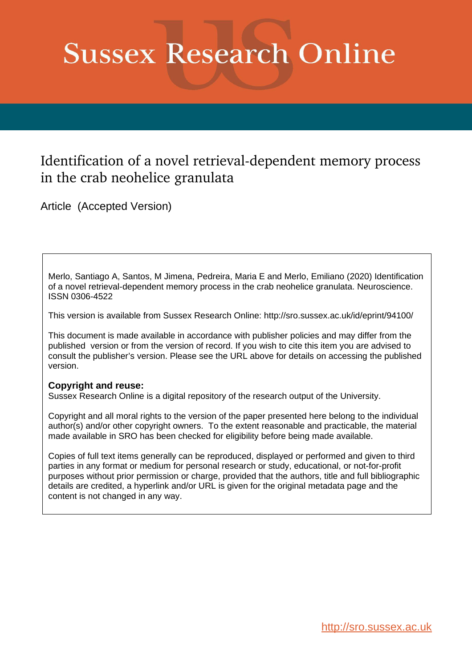# **Sussex Research Online**

# Identification of a novel retrieval-dependent memory process in the crab neohelice granulata

Article (Accepted Version)

Merlo, Santiago A, Santos, M Jimena, Pedreira, Maria E and Merlo, Emiliano (2020) Identification of a novel retrieval-dependent memory process in the crab neohelice granulata. Neuroscience. ISSN 0306-4522

This version is available from Sussex Research Online: http://sro.sussex.ac.uk/id/eprint/94100/

This document is made available in accordance with publisher policies and may differ from the published version or from the version of record. If you wish to cite this item you are advised to consult the publisher's version. Please see the URL above for details on accessing the published version.

# **Copyright and reuse:**

Sussex Research Online is a digital repository of the research output of the University.

Copyright and all moral rights to the version of the paper presented here belong to the individual author(s) and/or other copyright owners. To the extent reasonable and practicable, the material made available in SRO has been checked for eligibility before being made available.

Copies of full text items generally can be reproduced, displayed or performed and given to third parties in any format or medium for personal research or study, educational, or not-for-profit purposes without prior permission or charge, provided that the authors, title and full bibliographic details are credited, a hyperlink and/or URL is given for the original metadata page and the content is not changed in any way.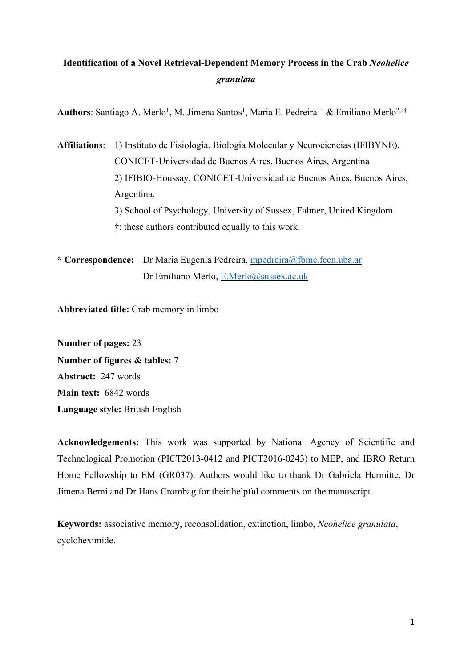# **Identification of a Novel Retrieval-Dependent Memory Process in the Crab** *Neohelice granulata*

Authors: Santiago A. Merlo<sup>1</sup>, M. Jimena Santos<sup>1</sup>, Maria E. Pedreira<sup>1†</sup> & Emiliano Merlo<sup>2,3†</sup>

**Affiliations**: 1) Instituto de Fisiología, Biología Molecular y Neurociencias (IFIBYNE), CONICET-Universidad de Buenos Aires, Buenos Aires, Argentina 2) IFIBIO-Houssay, CONICET-Universidad de Buenos Aires, Buenos Aires, Argentina. 3) School of Psychology, University of Sussex, Falmer, United Kingdom. †: these authors contributed equally to this work.

**\* Correspondence:** Dr Maria Eugenia Pedreira, mpedreira@fbmc.fcen.uba.ar Dr Emiliano Merlo, E.Merlo@sussex.ac.uk

**Abbreviated title:** Crab memory in limbo

**Number of pages:** 23 **Number of figures & tables:** 7 **Abstract:** 247 words **Main text:** 6842 words **Language style:** British English

**Acknowledgements:** This work was supported by National Agency of Scientific and Technological Promotion (PICT2013-0412 and PICT2016-0243) to MEP, and IBRO Return Home Fellowship to EM (GR037). Authors would like to thank Dr Gabriela Hermitte, Dr Jimena Berni and Dr Hans Crombag for their helpful comments on the manuscript.

**Keywords:** associative memory, reconsolidation, extinction, limbo, *Neohelice granulata*, cycloheximide.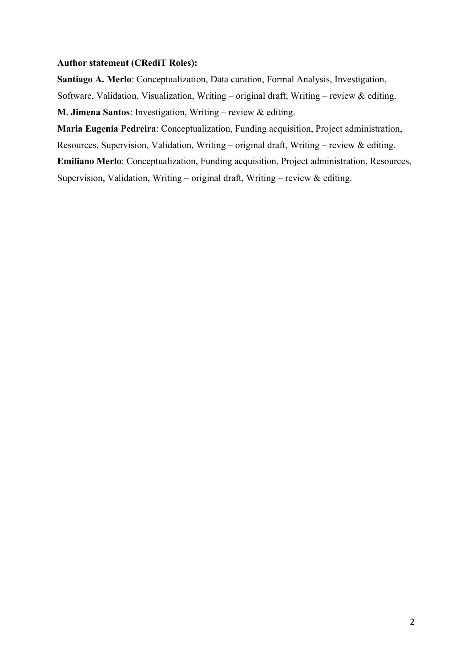# **Author statement (CRediT Roles):**

**Santiago A. Merlo**: Conceptualization, Data curation, Formal Analysis, Investigation, Software, Validation, Visualization, Writing – original draft, Writing – review & editing. **M. Jimena Santos**: Investigation, Writing – review & editing.

**Maria Eugenia Pedreira**: Conceptualization, Funding acquisition, Project administration,

Resources, Supervision, Validation, Writing – original draft, Writing – review & editing.

**Emiliano Merlo**: Conceptualization, Funding acquisition, Project administration, Resources,

Supervision, Validation, Writing – original draft, Writing – review  $\&$  editing.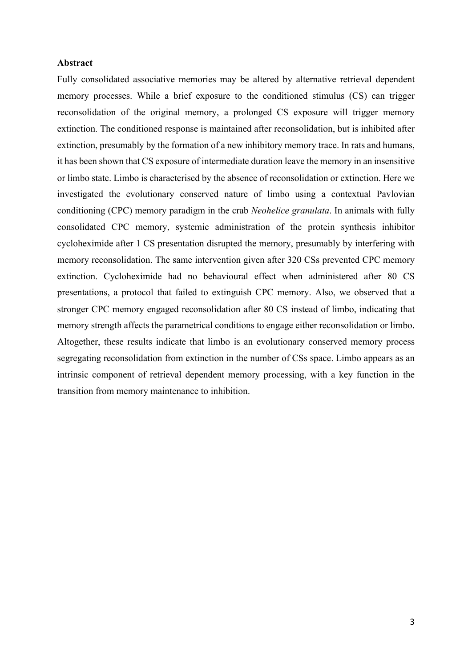## **Abstract**

Fully consolidated associative memories may be altered by alternative retrieval dependent memory processes. While a brief exposure to the conditioned stimulus (CS) can trigger reconsolidation of the original memory, a prolonged CS exposure will trigger memory extinction. The conditioned response is maintained after reconsolidation, but is inhibited after extinction, presumably by the formation of a new inhibitory memory trace. In rats and humans, it has been shown that CS exposure of intermediate duration leave the memory in an insensitive or limbo state. Limbo is characterised by the absence of reconsolidation or extinction. Here we investigated the evolutionary conserved nature of limbo using a contextual Pavlovian conditioning (CPC) memory paradigm in the crab *Neohelice granulata*. In animals with fully consolidated CPC memory, systemic administration of the protein synthesis inhibitor cycloheximide after 1 CS presentation disrupted the memory, presumably by interfering with memory reconsolidation. The same intervention given after 320 CSs prevented CPC memory extinction. Cycloheximide had no behavioural effect when administered after 80 CS presentations, a protocol that failed to extinguish CPC memory. Also, we observed that a stronger CPC memory engaged reconsolidation after 80 CS instead of limbo, indicating that memory strength affects the parametrical conditions to engage either reconsolidation or limbo. Altogether, these results indicate that limbo is an evolutionary conserved memory process segregating reconsolidation from extinction in the number of CSs space. Limbo appears as an intrinsic component of retrieval dependent memory processing, with a key function in the transition from memory maintenance to inhibition.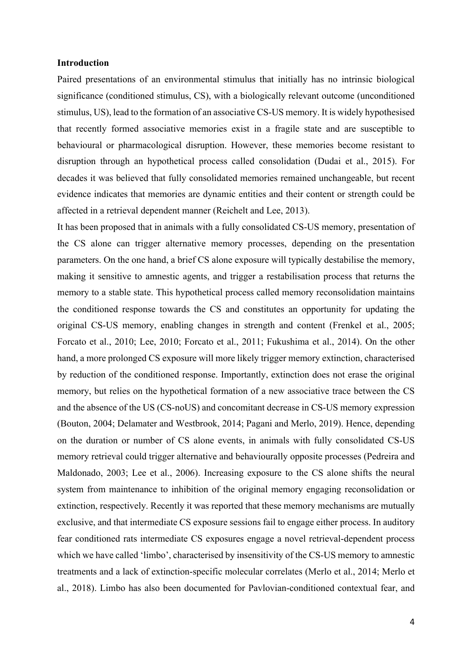#### **Introduction**

Paired presentations of an environmental stimulus that initially has no intrinsic biological significance (conditioned stimulus, CS), with a biologically relevant outcome (unconditioned stimulus, US), lead to the formation of an associative CS-US memory. It is widely hypothesised that recently formed associative memories exist in a fragile state and are susceptible to behavioural or pharmacological disruption. However, these memories become resistant to disruption through an hypothetical process called consolidation (Dudai et al., 2015). For decades it was believed that fully consolidated memories remained unchangeable, but recent evidence indicates that memories are dynamic entities and their content or strength could be affected in a retrieval dependent manner (Reichelt and Lee, 2013).

It has been proposed that in animals with a fully consolidated CS-US memory, presentation of the CS alone can trigger alternative memory processes, depending on the presentation parameters. On the one hand, a brief CS alone exposure will typically destabilise the memory, making it sensitive to amnestic agents, and trigger a restabilisation process that returns the memory to a stable state. This hypothetical process called memory reconsolidation maintains the conditioned response towards the CS and constitutes an opportunity for updating the original CS-US memory, enabling changes in strength and content (Frenkel et al., 2005; Forcato et al., 2010; Lee, 2010; Forcato et al., 2011; Fukushima et al., 2014). On the other hand, a more prolonged CS exposure will more likely trigger memory extinction, characterised by reduction of the conditioned response. Importantly, extinction does not erase the original memory, but relies on the hypothetical formation of a new associative trace between the CS and the absence of the US (CS-noUS) and concomitant decrease in CS-US memory expression (Bouton, 2004; Delamater and Westbrook, 2014; Pagani and Merlo, 2019). Hence, depending on the duration or number of CS alone events, in animals with fully consolidated CS-US memory retrieval could trigger alternative and behaviourally opposite processes (Pedreira and Maldonado, 2003; Lee et al., 2006). Increasing exposure to the CS alone shifts the neural system from maintenance to inhibition of the original memory engaging reconsolidation or extinction, respectively. Recently it was reported that these memory mechanisms are mutually exclusive, and that intermediate CS exposure sessions fail to engage either process. In auditory fear conditioned rats intermediate CS exposures engage a novel retrieval-dependent process which we have called 'limbo', characterised by insensitivity of the CS-US memory to amnestic treatments and a lack of extinction-specific molecular correlates (Merlo et al., 2014; Merlo et al., 2018). Limbo has also been documented for Pavlovian-conditioned contextual fear, and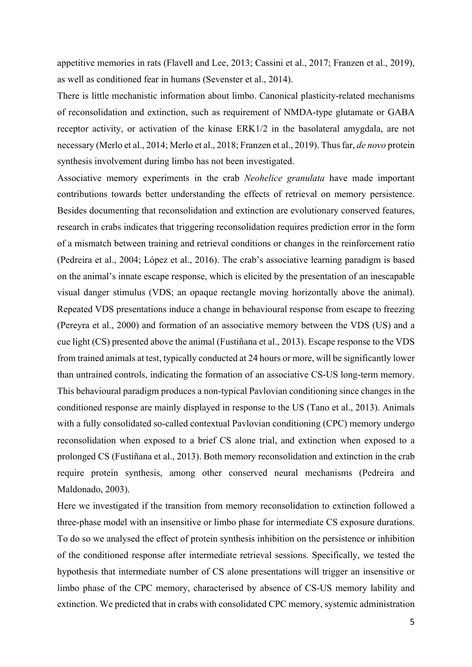appetitive memories in rats (Flavell and Lee, 2013; Cassini et al., 2017; Franzen et al., 2019), as well as conditioned fear in humans (Sevenster et al., 2014).

There is little mechanistic information about limbo. Canonical plasticity-related mechanisms of reconsolidation and extinction, such as requirement of NMDA-type glutamate or GABA receptor activity, or activation of the kinase ERK1/2 in the basolateral amygdala, are not necessary (Merlo et al., 2014; Merlo et al., 2018; Franzen et al., 2019). Thus far, *de novo* protein synthesis involvement during limbo has not been investigated.

Associative memory experiments in the crab *Neohelice granulata* have made important contributions towards better understanding the effects of retrieval on memory persistence. Besides documenting that reconsolidation and extinction are evolutionary conserved features, research in crabs indicates that triggering reconsolidation requires prediction error in the form of a mismatch between training and retrieval conditions or changes in the reinforcement ratio (Pedreira et al., 2004; López et al., 2016). The crab's associative learning paradigm is based on the animal's innate escape response, which is elicited by the presentation of an inescapable visual danger stimulus (VDS; an opaque rectangle moving horizontally above the animal). Repeated VDS presentations induce a change in behavioural response from escape to freezing (Pereyra et al., 2000) and formation of an associative memory between the VDS (US) and a cue light (CS) presented above the animal (Fustiñana et al., 2013). Escape response to the VDS from trained animals at test, typically conducted at 24 hours or more, will be significantly lower than untrained controls, indicating the formation of an associative CS-US long-term memory. This behavioural paradigm produces a non-typical Pavlovian conditioning since changes in the conditioned response are mainly displayed in response to the US (Tano et al., 2013). Animals with a fully consolidated so-called contextual Pavlovian conditioning (CPC) memory undergo reconsolidation when exposed to a brief CS alone trial, and extinction when exposed to a prolonged CS (Fustiñana et al., 2013). Both memory reconsolidation and extinction in the crab require protein synthesis, among other conserved neural mechanisms (Pedreira and Maldonado, 2003).

Here we investigated if the transition from memory reconsolidation to extinction followed a three-phase model with an insensitive or limbo phase for intermediate CS exposure durations. To do so we analysed the effect of protein synthesis inhibition on the persistence or inhibition of the conditioned response after intermediate retrieval sessions. Specifically, we tested the hypothesis that intermediate number of CS alone presentations will trigger an insensitive or limbo phase of the CPC memory, characterised by absence of CS-US memory lability and extinction. We predicted that in crabs with consolidated CPC memory, systemic administration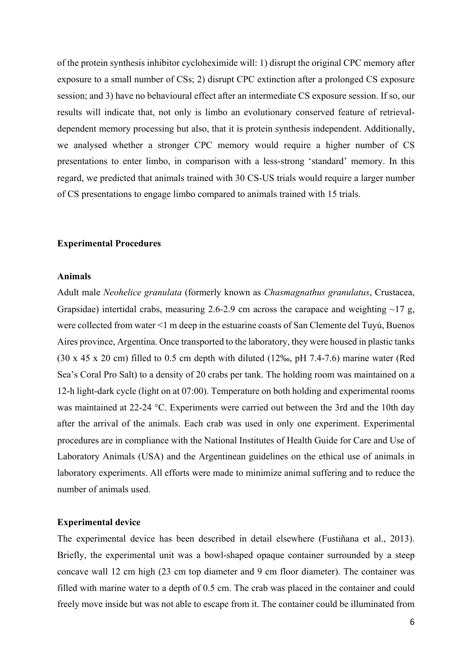of the protein synthesis inhibitor cycloheximide will: 1) disrupt the original CPC memory after exposure to a small number of CSs; 2) disrupt CPC extinction after a prolonged CS exposure session; and 3) have no behavioural effect after an intermediate CS exposure session. If so, our results will indicate that, not only is limbo an evolutionary conserved feature of retrievaldependent memory processing but also, that it is protein synthesis independent. Additionally, we analysed whether a stronger CPC memory would require a higher number of CS presentations to enter limbo, in comparison with a less-strong 'standard' memory. In this regard, we predicted that animals trained with 30 CS-US trials would require a larger number of CS presentations to engage limbo compared to animals trained with 15 trials.

#### **Experimental Procedures**

#### **Animals**

Adult male *Neohelice granulata* (formerly known as *Chasmagnathus granulatus*, Crustacea, Grapsidae) intertidal crabs, measuring 2.6-2.9 cm across the carapace and weighting  $\sim$ 17 g, were collected from water <1 m deep in the estuarine coasts of San Clemente del Tuyú, Buenos Aires province, Argentina. Once transported to the laboratory, they were housed in plastic tanks (30 x 45 x 20 cm) filled to 0.5 cm depth with diluted (12‰, pH 7.4-7.6) marine water (Red Sea's Coral Pro Salt) to a density of 20 crabs per tank. The holding room was maintained on a 12-h light-dark cycle (light on at 07:00). Temperature on both holding and experimental rooms was maintained at 22-24 °C. Experiments were carried out between the 3rd and the 10th day after the arrival of the animals. Each crab was used in only one experiment. Experimental procedures are in compliance with the National Institutes of Health Guide for Care and Use of Laboratory Animals (USA) and the Argentinean guidelines on the ethical use of animals in laboratory experiments. All efforts were made to minimize animal suffering and to reduce the number of animals used.

#### **Experimental device**

The experimental device has been described in detail elsewhere (Fustiñana et al., 2013). Briefly, the experimental unit was a bowl-shaped opaque container surrounded by a steep concave wall 12 cm high (23 cm top diameter and 9 cm floor diameter). The container was filled with marine water to a depth of 0.5 cm. The crab was placed in the container and could freely move inside but was not able to escape from it. The container could be illuminated from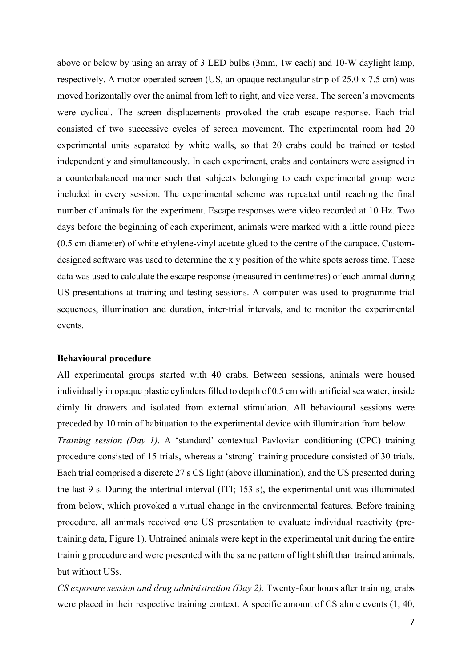above or below by using an array of 3 LED bulbs (3mm, 1w each) and 10-W daylight lamp, respectively. A motor-operated screen (US, an opaque rectangular strip of 25.0 x 7.5 cm) was moved horizontally over the animal from left to right, and vice versa. The screen's movements were cyclical. The screen displacements provoked the crab escape response. Each trial consisted of two successive cycles of screen movement. The experimental room had 20 experimental units separated by white walls, so that 20 crabs could be trained or tested independently and simultaneously. In each experiment, crabs and containers were assigned in a counterbalanced manner such that subjects belonging to each experimental group were included in every session. The experimental scheme was repeated until reaching the final number of animals for the experiment. Escape responses were video recorded at 10 Hz. Two days before the beginning of each experiment, animals were marked with a little round piece (0.5 cm diameter) of white ethylene-vinyl acetate glued to the centre of the carapace. Customdesigned software was used to determine the x y position of the white spots across time. These data was used to calculate the escape response (measured in centimetres) of each animal during US presentations at training and testing sessions. A computer was used to programme trial sequences, illumination and duration, inter-trial intervals, and to monitor the experimental events.

#### **Behavioural procedure**

All experimental groups started with 40 crabs. Between sessions, animals were housed individually in opaque plastic cylinders filled to depth of 0.5 cm with artificial sea water, inside dimly lit drawers and isolated from external stimulation. All behavioural sessions were preceded by 10 min of habituation to the experimental device with illumination from below. *Training session (Day 1)*. A 'standard' contextual Pavlovian conditioning (CPC) training procedure consisted of 15 trials, whereas a 'strong' training procedure consisted of 30 trials. Each trial comprised a discrete 27 s CS light (above illumination), and the US presented during the last 9 s. During the intertrial interval (ITI; 153 s), the experimental unit was illuminated from below, which provoked a virtual change in the environmental features. Before training procedure, all animals received one US presentation to evaluate individual reactivity (pretraining data, Figure 1). Untrained animals were kept in the experimental unit during the entire training procedure and were presented with the same pattern of light shift than trained animals,

but without USs.

*CS exposure session and drug administration (Day 2).* Twenty-four hours after training, crabs were placed in their respective training context. A specific amount of CS alone events (1, 40,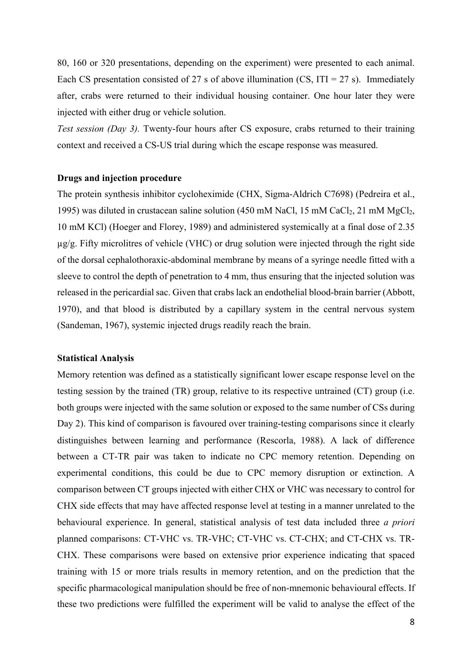80, 160 or 320 presentations, depending on the experiment) were presented to each animal. Each CS presentation consisted of 27 s of above illumination (CS, ITI = 27 s). Immediately after, crabs were returned to their individual housing container. One hour later they were injected with either drug or vehicle solution.

*Test session (Day 3).* Twenty-four hours after CS exposure, crabs returned to their training context and received a CS-US trial during which the escape response was measured.

## **Drugs and injection procedure**

The protein synthesis inhibitor cycloheximide (CHX, Sigma-Aldrich C7698) (Pedreira et al., 1995) was diluted in crustacean saline solution (450 mM NaCl, 15 mM CaCl2, 21 mM MgCl2, 10 mM KCl) (Hoeger and Florey, 1989) and administered systemically at a final dose of 2.35 µg/g. Fifty microlitres of vehicle (VHC) or drug solution were injected through the right side of the dorsal cephalothoraxic-abdominal membrane by means of a syringe needle fitted with a sleeve to control the depth of penetration to 4 mm, thus ensuring that the injected solution was released in the pericardial sac. Given that crabs lack an endothelial blood-brain barrier (Abbott, 1970), and that blood is distributed by a capillary system in the central nervous system (Sandeman, 1967), systemic injected drugs readily reach the brain.

#### **Statistical Analysis**

Memory retention was defined as a statistically significant lower escape response level on the testing session by the trained (TR) group, relative to its respective untrained (CT) group (i.e. both groups were injected with the same solution or exposed to the same number of CSs during Day 2). This kind of comparison is favoured over training-testing comparisons since it clearly distinguishes between learning and performance (Rescorla, 1988). A lack of difference between a CT-TR pair was taken to indicate no CPC memory retention. Depending on experimental conditions, this could be due to CPC memory disruption or extinction. A comparison between CT groups injected with either CHX or VHC was necessary to control for CHX side effects that may have affected response level at testing in a manner unrelated to the behavioural experience. In general, statistical analysis of test data included three *a priori* planned comparisons: CT-VHC vs. TR-VHC; CT-VHC vs. CT-CHX; and CT-CHX vs. TR-CHX. These comparisons were based on extensive prior experience indicating that spaced training with 15 or more trials results in memory retention, and on the prediction that the specific pharmacological manipulation should be free of non-mnemonic behavioural effects. If these two predictions were fulfilled the experiment will be valid to analyse the effect of the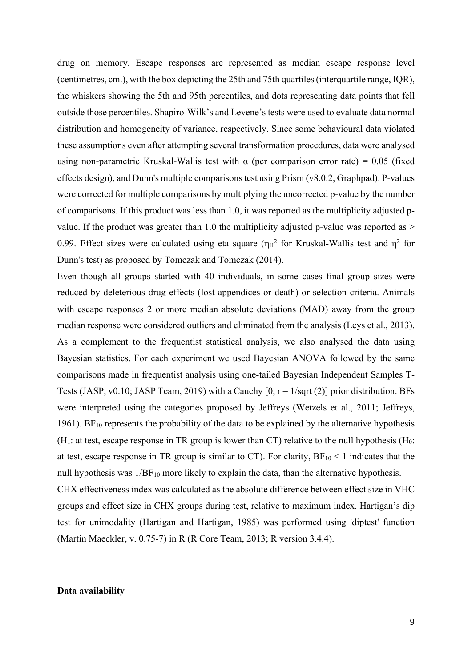drug on memory. Escape responses are represented as median escape response level (centimetres, cm.), with the box depicting the 25th and 75th quartiles (interquartile range, IQR), the whiskers showing the 5th and 95th percentiles, and dots representing data points that fell outside those percentiles. Shapiro-Wilk's and Levene's tests were used to evaluate data normal distribution and homogeneity of variance, respectively. Since some behavioural data violated these assumptions even after attempting several transformation procedures, data were analysed using non-parametric Kruskal-Wallis test with  $\alpha$  (per comparison error rate) = 0.05 (fixed effects design), and Dunn's multiple comparisons test using Prism (v8.0.2, Graphpad). P-values were corrected for multiple comparisons by multiplying the uncorrected p-value by the number of comparisons. If this product was less than 1.0, it was reported as the multiplicity adjusted pvalue. If the product was greater than 1.0 the multiplicity adjusted p-value was reported as  $>$ 0.99. Effect sizes were calculated using eta square ( $\eta_H^2$  for Kruskal-Wallis test and  $\eta^2$  for Dunn's test) as proposed by Tomczak and Tomczak (2014).

Even though all groups started with 40 individuals, in some cases final group sizes were reduced by deleterious drug effects (lost appendices or death) or selection criteria. Animals with escape responses 2 or more median absolute deviations (MAD) away from the group median response were considered outliers and eliminated from the analysis (Leys et al., 2013). As a complement to the frequentist statistical analysis, we also analysed the data using Bayesian statistics. For each experiment we used Bayesian ANOVA followed by the same comparisons made in frequentist analysis using one-tailed Bayesian Independent Samples T-Tests (JASP, v0.10; JASP Team, 2019) with a Cauchy  $[0, r = 1/\sqrt{2}]$  prior distribution. BFs were interpreted using the categories proposed by Jeffreys (Wetzels et al., 2011; Jeffreys, 1961). BF<sub>10</sub> represents the probability of the data to be explained by the alternative hypothesis (H<sub>1</sub>: at test, escape response in TR group is lower than CT) relative to the null hypothesis (H<sub>0</sub>: at test, escape response in TR group is similar to CT). For clarity,  $BF_{10} < 1$  indicates that the null hypothesis was  $1/BF_{10}$  more likely to explain the data, than the alternative hypothesis.

CHX effectiveness index was calculated as the absolute difference between effect size in VHC groups and effect size in CHX groups during test, relative to maximum index. Hartigan's dip test for unimodality (Hartigan and Hartigan, 1985) was performed using 'diptest' function (Martin Maeckler, v. 0.75-7) in R (R Core Team, 2013; R version 3.4.4).

## **Data availability**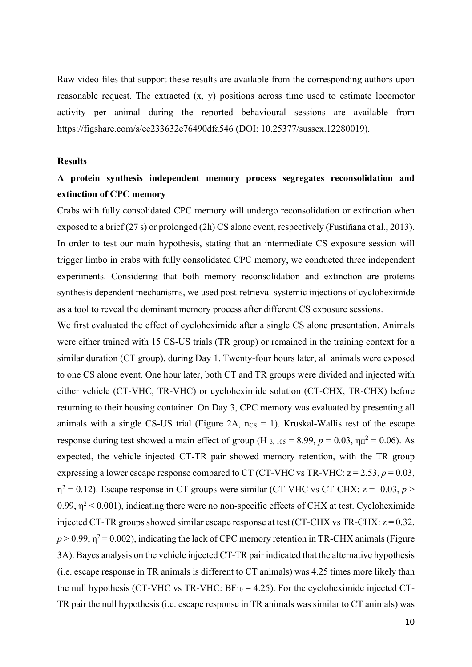Raw video files that support these results are available from the corresponding authors upon reasonable request. The extracted (x, y) positions across time used to estimate locomotor activity per animal during the reported behavioural sessions are available from https://figshare.com/s/ee233632e76490dfa546 (DOI: 10.25377/sussex.12280019).

# **Results**

# **A protein synthesis independent memory process segregates reconsolidation and extinction of CPC memory**

Crabs with fully consolidated CPC memory will undergo reconsolidation or extinction when exposed to a brief (27 s) or prolonged (2h) CS alone event, respectively (Fustiñana et al., 2013). In order to test our main hypothesis, stating that an intermediate CS exposure session will trigger limbo in crabs with fully consolidated CPC memory, we conducted three independent experiments. Considering that both memory reconsolidation and extinction are proteins synthesis dependent mechanisms, we used post-retrieval systemic injections of cycloheximide as a tool to reveal the dominant memory process after different CS exposure sessions.

We first evaluated the effect of cycloheximide after a single CS alone presentation. Animals were either trained with 15 CS-US trials (TR group) or remained in the training context for a similar duration (CT group), during Day 1. Twenty-four hours later, all animals were exposed to one CS alone event. One hour later, both CT and TR groups were divided and injected with either vehicle (CT-VHC, TR-VHC) or cycloheximide solution (CT-CHX, TR-CHX) before returning to their housing container. On Day 3, CPC memory was evaluated by presenting all animals with a single CS-US trial (Figure 2A,  $n_{\text{CS}} = 1$ ). Kruskal-Wallis test of the escape response during test showed a main effect of group (H  $_{3.105}$  = 8.99,  $p = 0.03$ ,  $\eta_H^2 = 0.06$ ). As expected, the vehicle injected CT-TR pair showed memory retention, with the TR group expressing a lower escape response compared to CT (CT-VHC vs TR-VHC:  $z = 2.53$ ,  $p = 0.03$ ,  $\eta^2 = 0.12$ ). Escape response in CT groups were similar (CT-VHC vs CT-CHX:  $z = -0.03$ ,  $p >$ 0.99,  $\eta^2$  < 0.001), indicating there were no non-specific effects of CHX at test. Cycloheximide injected CT-TR groups showed similar escape response at test (CT-CHX vs TR-CHX:  $z = 0.32$ ,  $p > 0.99$ ,  $\eta^2 = 0.002$ ), indicating the lack of CPC memory retention in TR-CHX animals (Figure 3A). Bayes analysis on the vehicle injected CT-TR pair indicated that the alternative hypothesis (i.e. escape response in TR animals is different to CT animals) was 4.25 times more likely than the null hypothesis (CT-VHC vs TR-VHC:  $BF_{10} = 4.25$ ). For the cycloheximide injected CT-TR pair the null hypothesis (i.e. escape response in TR animals was similar to CT animals) was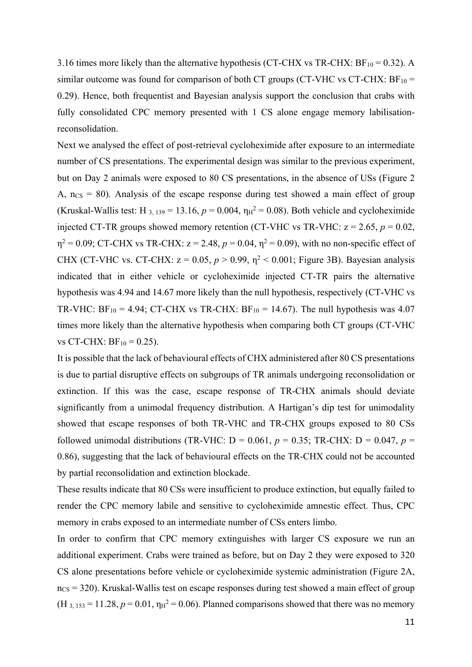3.16 times more likely than the alternative hypothesis (CT-CHX vs TR-CHX:  $BF_{10} = 0.32$ ). A similar outcome was found for comparison of both CT groups (CT-VHC vs CT-CHX:  $BF_{10} =$ 0.29). Hence, both frequentist and Bayesian analysis support the conclusion that crabs with fully consolidated CPC memory presented with 1 CS alone engage memory labilisationreconsolidation.

Next we analysed the effect of post-retrieval cycloheximide after exposure to an intermediate number of CS presentations. The experimental design was similar to the previous experiment, but on Day 2 animals were exposed to 80 CS presentations, in the absence of USs (Figure 2 A,  $ncs = 80$ ). Analysis of the escape response during test showed a main effect of group (Kruskal-Wallis test: H<sub>3, 139</sub> = 13.16,  $p = 0.004$ ,  $\eta_H^2 = 0.08$ ). Both vehicle and cycloheximide injected CT-TR groups showed memory retention (CT-VHC vs TR-VHC:  $z = 2.65$ ,  $p = 0.02$ ,  $\eta^2 = 0.09$ ; CT-CHX vs TR-CHX:  $z = 2.48$ ,  $p = 0.04$ ,  $\eta^2 = 0.09$ ), with no non-specific effect of CHX (CT-VHC vs. CT-CHX:  $z = 0.05$ ,  $p > 0.99$ ,  $\eta^2 < 0.001$ ; Figure 3B). Bayesian analysis indicated that in either vehicle or cycloheximide injected CT-TR pairs the alternative hypothesis was 4.94 and 14.67 more likely than the null hypothesis, respectively (CT-VHC vs TR-VHC:  $BF_{10} = 4.94$ ; CT-CHX vs TR-CHX:  $BF_{10} = 14.67$ ). The null hypothesis was 4.07 times more likely than the alternative hypothesis when comparing both CT groups (CT-VHC vs CT-CHX:  $BF_{10} = 0.25$ ).

It is possible that the lack of behavioural effects of CHX administered after 80 CS presentations is due to partial disruptive effects on subgroups of TR animals undergoing reconsolidation or extinction. If this was the case, escape response of TR-CHX animals should deviate significantly from a unimodal frequency distribution. A Hartigan's dip test for unimodality showed that escape responses of both TR-VHC and TR-CHX groups exposed to 80 CSs followed unimodal distributions (TR-VHC:  $D = 0.061$ ,  $p = 0.35$ ; TR-CHX:  $D = 0.047$ ,  $p =$ 0.86), suggesting that the lack of behavioural effects on the TR-CHX could not be accounted by partial reconsolidation and extinction blockade.

These results indicate that 80 CSs were insufficient to produce extinction, but equally failed to render the CPC memory labile and sensitive to cycloheximide amnestic effect. Thus, CPC memory in crabs exposed to an intermediate number of CSs enters limbo.

In order to confirm that CPC memory extinguishes with larger CS exposure we run an additional experiment. Crabs were trained as before, but on Day 2 they were exposed to 320 CS alone presentations before vehicle or cycloheximide systemic administration (Figure 2A,  $n_{\text{CS}}$  = 320). Kruskal-Wallis test on escape responses during test showed a main effect of group  $(H_{3.153} = 11.28, p = 0.01, \eta_H^2 = 0.06)$ . Planned comparisons showed that there was no memory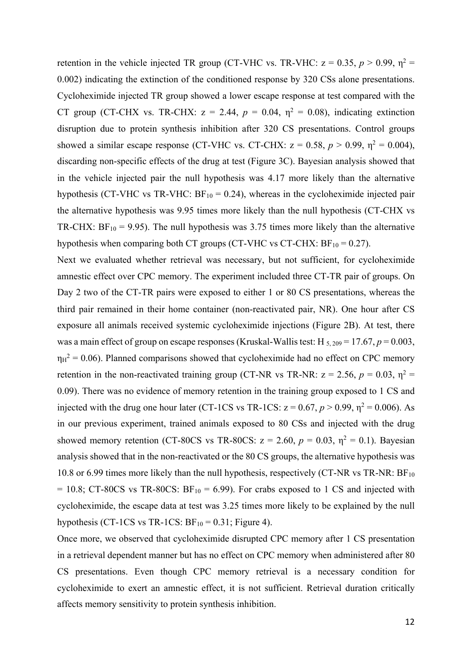retention in the vehicle injected TR group (CT-VHC vs. TR-VHC:  $z = 0.35$ ,  $p > 0.99$ ,  $\eta^2 =$ 0.002) indicating the extinction of the conditioned response by 320 CSs alone presentations. Cycloheximide injected TR group showed a lower escape response at test compared with the CT group (CT-CHX vs. TR-CHX:  $z = 2.44$ ,  $p = 0.04$ ,  $\eta^2 = 0.08$ ), indicating extinction disruption due to protein synthesis inhibition after 320 CS presentations. Control groups showed a similar escape response (CT-VHC vs. CT-CHX:  $z = 0.58$ ,  $p > 0.99$ ,  $\eta^2 = 0.004$ ), discarding non-specific effects of the drug at test (Figure 3C). Bayesian analysis showed that in the vehicle injected pair the null hypothesis was 4.17 more likely than the alternative hypothesis (CT-VHC vs TR-VHC:  $BF_{10} = 0.24$ ), whereas in the cycloheximide injected pair the alternative hypothesis was 9.95 times more likely than the null hypothesis (CT-CHX vs TR-CHX:  $BF_{10} = 9.95$ ). The null hypothesis was 3.75 times more likely than the alternative hypothesis when comparing both CT groups (CT-VHC vs CT-CHX:  $BF_{10} = 0.27$ ).

Next we evaluated whether retrieval was necessary, but not sufficient, for cycloheximide amnestic effect over CPC memory. The experiment included three CT-TR pair of groups. On Day 2 two of the CT-TR pairs were exposed to either 1 or 80 CS presentations, whereas the third pair remained in their home container (non-reactivated pair, NR). One hour after CS exposure all animals received systemic cycloheximide injections (Figure 2B). At test, there was a main effect of group on escape responses (Kruskal-Wallis test: H  $_{5,209}$  = 17.67, *p* = 0.003,  $\eta_H^2$  = 0.06). Planned comparisons showed that cycloheximide had no effect on CPC memory retention in the non-reactivated training group (CT-NR vs TR-NR:  $z = 2.56$ ,  $p = 0.03$ ,  $\eta^2 =$ 0.09). There was no evidence of memory retention in the training group exposed to 1 CS and injected with the drug one hour later (CT-1CS vs TR-1CS:  $z = 0.67$ ,  $p > 0.99$ ,  $\eta^2 = 0.006$ ). As in our previous experiment, trained animals exposed to 80 CSs and injected with the drug showed memory retention (CT-80CS vs TR-80CS:  $z = 2.60$ ,  $p = 0.03$ ,  $\eta^2 = 0.1$ ). Bayesian analysis showed that in the non-reactivated or the 80 CS groups, the alternative hypothesis was 10.8 or 6.99 times more likely than the null hypothesis, respectively (CT-NR vs TR-NR:  $BF_{10}$ )  $= 10.8$ ; CT-80CS vs TR-80CS: BF<sub>10</sub> = 6.99). For crabs exposed to 1 CS and injected with cycloheximide, the escape data at test was 3.25 times more likely to be explained by the null hypothesis (CT-1CS vs TR-1CS:  $BF_{10} = 0.31$ ; Figure 4).

Once more, we observed that cycloheximide disrupted CPC memory after 1 CS presentation in a retrieval dependent manner but has no effect on CPC memory when administered after 80 CS presentations. Even though CPC memory retrieval is a necessary condition for cycloheximide to exert an amnestic effect, it is not sufficient. Retrieval duration critically affects memory sensitivity to protein synthesis inhibition.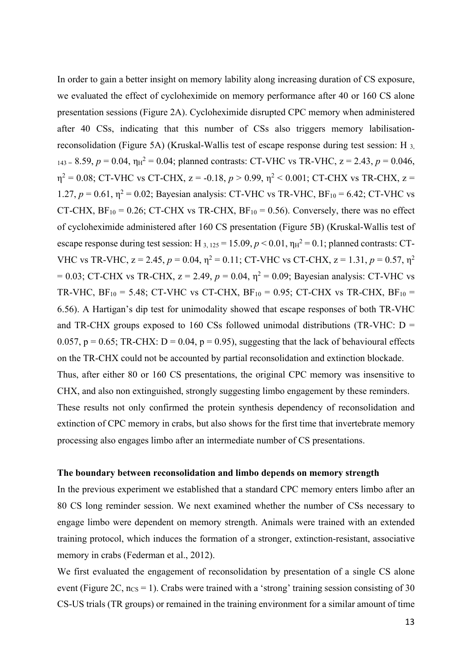In order to gain a better insight on memory lability along increasing duration of CS exposure, we evaluated the effect of cycloheximide on memory performance after 40 or 160 CS alone presentation sessions (Figure 2A). Cycloheximide disrupted CPC memory when administered after 40 CSs, indicating that this number of CSs also triggers memory labilisationreconsolidation (Figure 5A) (Kruskal-Wallis test of escape response during test session: H 3,  $143 = 8.59$ ,  $p = 0.04$ ,  $\eta_H^2 = 0.04$ ; planned contrasts: CT-VHC vs TR-VHC,  $z = 2.43$ ,  $p = 0.046$ ,  $\eta^2 = 0.08$ ; CT-VHC vs CT-CHX,  $z = -0.18$ ,  $p > 0.99$ ,  $\eta^2 < 0.001$ ; CT-CHX vs TR-CHX,  $z =$ 1.27,  $p = 0.61$ ,  $\eta^2 = 0.02$ ; Bayesian analysis: CT-VHC vs TR-VHC, BF<sub>10</sub> = 6.42; CT-VHC vs CT-CHX,  $BF_{10} = 0.26$ ; CT-CHX vs TR-CHX,  $BF_{10} = 0.56$ ). Conversely, there was no effect of cycloheximide administered after 160 CS presentation (Figure 5B) (Kruskal-Wallis test of escape response during test session: H  $_{3,125}$  = 15.09,  $p$  < 0.01,  $\eta_H^2$  = 0.1; planned contrasts: CT-VHC vs TR-VHC,  $z = 2.45$ ,  $p = 0.04$ ,  $\eta^2 = 0.11$ ; CT-VHC vs CT-CHX,  $z = 1.31$ ,  $p = 0.57$ ,  $\eta^2$ = 0.03; CT-CHX vs TR-CHX,  $z = 2.49$ ,  $p = 0.04$ ,  $\eta^2 = 0.09$ ; Bayesian analysis: CT-VHC vs TR-VHC,  $BF_{10} = 5.48$ ; CT-VHC vs CT-CHX,  $BF_{10} = 0.95$ ; CT-CHX vs TR-CHX,  $BF_{10} =$ 6.56). A Hartigan's dip test for unimodality showed that escape responses of both TR-VHC and TR-CHX groups exposed to 160 CSs followed unimodal distributions (TR-VHC:  $D =$ 0.057,  $p = 0.65$ ; TR-CHX:  $D = 0.04$ ,  $p = 0.95$ ), suggesting that the lack of behavioural effects on the TR-CHX could not be accounted by partial reconsolidation and extinction blockade. Thus, after either 80 or 160 CS presentations, the original CPC memory was insensitive to CHX, and also non extinguished, strongly suggesting limbo engagement by these reminders. These results not only confirmed the protein synthesis dependency of reconsolidation and extinction of CPC memory in crabs, but also shows for the first time that invertebrate memory processing also engages limbo after an intermediate number of CS presentations.

#### **The boundary between reconsolidation and limbo depends on memory strength**

In the previous experiment we established that a standard CPC memory enters limbo after an 80 CS long reminder session. We next examined whether the number of CSs necessary to engage limbo were dependent on memory strength. Animals were trained with an extended training protocol, which induces the formation of a stronger, extinction-resistant, associative memory in crabs (Federman et al., 2012).

We first evaluated the engagement of reconsolidation by presentation of a single CS alone event (Figure 2C,  $n_{CS} = 1$ ). Crabs were trained with a 'strong' training session consisting of 30 CS-US trials (TR groups) or remained in the training environment for a similar amount of time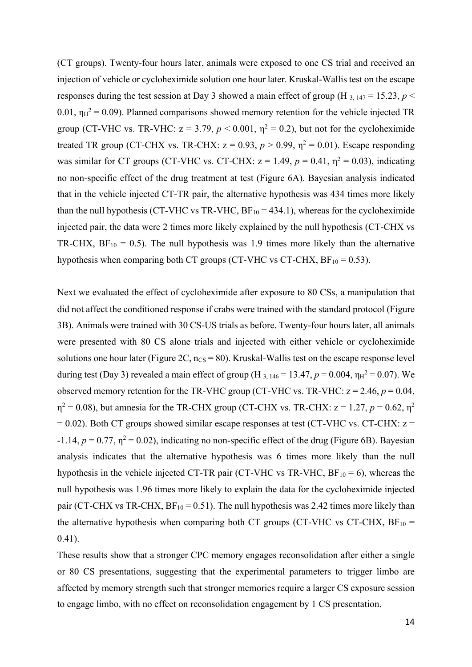(CT groups). Twenty-four hours later, animals were exposed to one CS trial and received an injection of vehicle or cycloheximide solution one hour later. Kruskal-Wallis test on the escape responses during the test session at Day 3 showed a main effect of group (H<sub>3, 147</sub> = 15.23, *p* < 0.01,  $\eta_H^2$  = 0.09). Planned comparisons showed memory retention for the vehicle injected TR group (CT-VHC vs. TR-VHC:  $z = 3.79$ ,  $p < 0.001$ ,  $\eta^2 = 0.2$ ), but not for the cycloheximide treated TR group (CT-CHX vs. TR-CHX:  $z = 0.93$ ,  $p > 0.99$ ,  $\eta^2 = 0.01$ ). Escape responding was similar for CT groups (CT-VHC vs. CT-CHX:  $z = 1.49$ ,  $p = 0.41$ ,  $\eta^2 = 0.03$ ), indicating no non-specific effect of the drug treatment at test (Figure 6A). Bayesian analysis indicated that in the vehicle injected CT-TR pair, the alternative hypothesis was 434 times more likely than the null hypothesis (CT-VHC vs TR-VHC,  $BF_{10} = 434.1$ ), whereas for the cycloheximide injected pair, the data were 2 times more likely explained by the null hypothesis (CT-CHX vs TR-CHX,  $BF_{10} = 0.5$ ). The null hypothesis was 1.9 times more likely than the alternative hypothesis when comparing both CT groups (CT-VHC vs CT-CHX,  $BF_{10} = 0.53$ ).

Next we evaluated the effect of cycloheximide after exposure to 80 CSs, a manipulation that did not affect the conditioned response if crabs were trained with the standard protocol (Figure 3B). Animals were trained with 30 CS-US trials as before. Twenty-four hours later, all animals were presented with 80 CS alone trials and injected with either vehicle or cycloheximide solutions one hour later (Figure 2C,  $n_{CS} = 80$ ). Kruskal-Wallis test on the escape response level during test (Day 3) revealed a main effect of group (H<sub>3, 146</sub> = 13.47,  $p = 0.004$ ,  $\eta_H^2 = 0.07$ ). We observed memory retention for the TR-VHC group (CT-VHC vs. TR-VHC:  $z = 2.46$ ,  $p = 0.04$ ,  $\eta^2 = 0.08$ ), but amnesia for the TR-CHX group (CT-CHX vs. TR-CHX:  $z = 1.27$ ,  $p = 0.62$ ,  $\eta^2$  $= 0.02$ ). Both CT groups showed similar escape responses at test (CT-VHC vs. CT-CHX:  $z =$  $-1.14$ ,  $p = 0.77$ ,  $\eta^2 = 0.02$ ), indicating no non-specific effect of the drug (Figure 6B). Bayesian analysis indicates that the alternative hypothesis was 6 times more likely than the null hypothesis in the vehicle injected CT-TR pair (CT-VHC vs TR-VHC,  $BF_{10} = 6$ ), whereas the null hypothesis was 1.96 times more likely to explain the data for the cycloheximide injected pair (CT-CHX vs TR-CHX,  $BF_{10} = 0.51$ ). The null hypothesis was 2.42 times more likely than the alternative hypothesis when comparing both CT groups (CT-VHC vs CT-CHX,  $BF_{10}$  = 0.41).

These results show that a stronger CPC memory engages reconsolidation after either a single or 80 CS presentations, suggesting that the experimental parameters to trigger limbo are affected by memory strength such that stronger memories require a larger CS exposure session to engage limbo, with no effect on reconsolidation engagement by 1 CS presentation.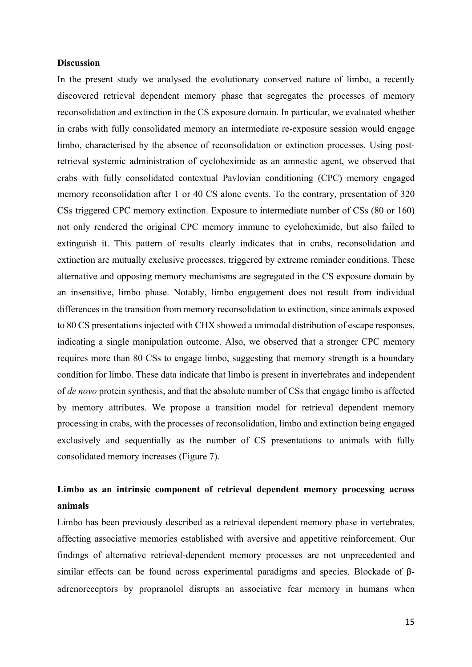#### **Discussion**

In the present study we analysed the evolutionary conserved nature of limbo, a recently discovered retrieval dependent memory phase that segregates the processes of memory reconsolidation and extinction in the CS exposure domain. In particular, we evaluated whether in crabs with fully consolidated memory an intermediate re-exposure session would engage limbo, characterised by the absence of reconsolidation or extinction processes. Using postretrieval systemic administration of cycloheximide as an amnestic agent, we observed that crabs with fully consolidated contextual Pavlovian conditioning (CPC) memory engaged memory reconsolidation after 1 or 40 CS alone events. To the contrary, presentation of 320 CSs triggered CPC memory extinction. Exposure to intermediate number of CSs (80 or 160) not only rendered the original CPC memory immune to cycloheximide, but also failed to extinguish it. This pattern of results clearly indicates that in crabs, reconsolidation and extinction are mutually exclusive processes, triggered by extreme reminder conditions. These alternative and opposing memory mechanisms are segregated in the CS exposure domain by an insensitive, limbo phase. Notably, limbo engagement does not result from individual differences in the transition from memory reconsolidation to extinction, since animals exposed to 80 CS presentations injected with CHX showed a unimodal distribution of escape responses, indicating a single manipulation outcome. Also, we observed that a stronger CPC memory requires more than 80 CSs to engage limbo, suggesting that memory strength is a boundary condition for limbo. These data indicate that limbo is present in invertebrates and independent of *de novo* protein synthesis, and that the absolute number of CSs that engage limbo is affected by memory attributes. We propose a transition model for retrieval dependent memory processing in crabs, with the processes of reconsolidation, limbo and extinction being engaged exclusively and sequentially as the number of CS presentations to animals with fully consolidated memory increases (Figure 7).

# **Limbo as an intrinsic component of retrieval dependent memory processing across animals**

Limbo has been previously described as a retrieval dependent memory phase in vertebrates, affecting associative memories established with aversive and appetitive reinforcement. Our findings of alternative retrieval-dependent memory processes are not unprecedented and similar effects can be found across experimental paradigms and species. Blockade of βadrenoreceptors by propranolol disrupts an associative fear memory in humans when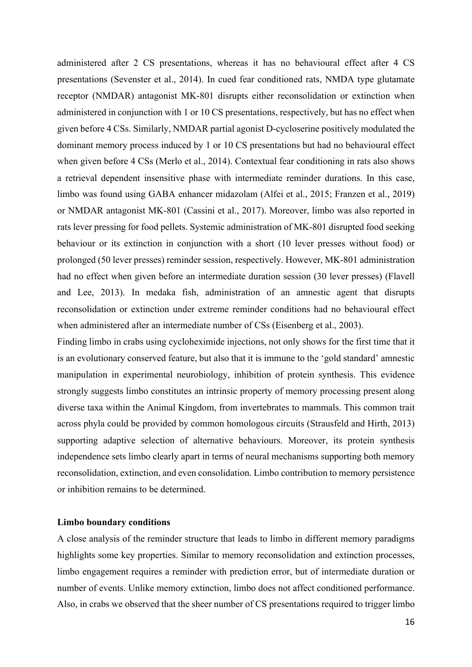administered after 2 CS presentations, whereas it has no behavioural effect after 4 CS presentations (Sevenster et al., 2014). In cued fear conditioned rats, NMDA type glutamate receptor (NMDAR) antagonist MK-801 disrupts either reconsolidation or extinction when administered in conjunction with 1 or 10 CS presentations, respectively, but has no effect when given before 4 CSs. Similarly, NMDAR partial agonist D-cycloserine positively modulated the dominant memory process induced by 1 or 10 CS presentations but had no behavioural effect when given before 4 CSs (Merlo et al., 2014). Contextual fear conditioning in rats also shows a retrieval dependent insensitive phase with intermediate reminder durations. In this case, limbo was found using GABA enhancer midazolam (Alfei et al., 2015; Franzen et al., 2019) or NMDAR antagonist MK-801 (Cassini et al., 2017). Moreover, limbo was also reported in rats lever pressing for food pellets. Systemic administration of MK-801 disrupted food seeking behaviour or its extinction in conjunction with a short (10 lever presses without food) or prolonged (50 lever presses) reminder session, respectively. However, MK-801 administration had no effect when given before an intermediate duration session (30 lever presses) (Flavell and Lee, 2013). In medaka fish, administration of an amnestic agent that disrupts reconsolidation or extinction under extreme reminder conditions had no behavioural effect when administered after an intermediate number of CSs (Eisenberg et al., 2003).

Finding limbo in crabs using cycloheximide injections, not only shows for the first time that it is an evolutionary conserved feature, but also that it is immune to the 'gold standard' amnestic manipulation in experimental neurobiology, inhibition of protein synthesis. This evidence strongly suggests limbo constitutes an intrinsic property of memory processing present along diverse taxa within the Animal Kingdom, from invertebrates to mammals. This common trait across phyla could be provided by common homologous circuits (Strausfeld and Hirth, 2013) supporting adaptive selection of alternative behaviours. Moreover, its protein synthesis independence sets limbo clearly apart in terms of neural mechanisms supporting both memory reconsolidation, extinction, and even consolidation. Limbo contribution to memory persistence or inhibition remains to be determined.

#### **Limbo boundary conditions**

A close analysis of the reminder structure that leads to limbo in different memory paradigms highlights some key properties. Similar to memory reconsolidation and extinction processes, limbo engagement requires a reminder with prediction error, but of intermediate duration or number of events. Unlike memory extinction, limbo does not affect conditioned performance. Also, in crabs we observed that the sheer number of CS presentations required to trigger limbo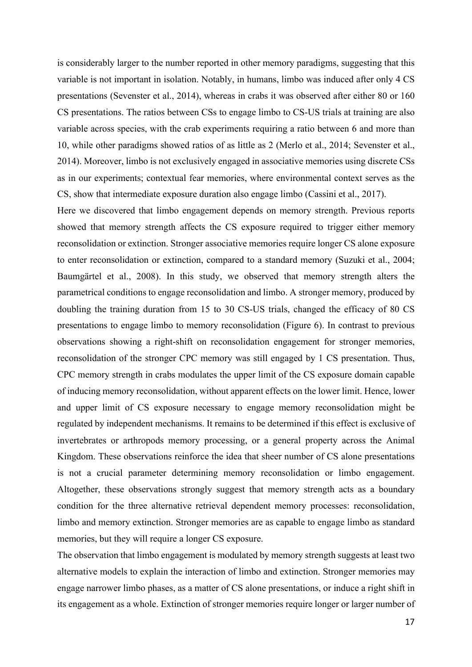is considerably larger to the number reported in other memory paradigms, suggesting that this variable is not important in isolation. Notably, in humans, limbo was induced after only 4 CS presentations (Sevenster et al., 2014), whereas in crabs it was observed after either 80 or 160 CS presentations. The ratios between CSs to engage limbo to CS-US trials at training are also variable across species, with the crab experiments requiring a ratio between 6 and more than 10, while other paradigms showed ratios of as little as 2 (Merlo et al., 2014; Sevenster et al., 2014). Moreover, limbo is not exclusively engaged in associative memories using discrete CSs as in our experiments; contextual fear memories, where environmental context serves as the CS, show that intermediate exposure duration also engage limbo (Cassini et al., 2017).

Here we discovered that limbo engagement depends on memory strength. Previous reports showed that memory strength affects the CS exposure required to trigger either memory reconsolidation or extinction. Stronger associative memories require longer CS alone exposure to enter reconsolidation or extinction, compared to a standard memory (Suzuki et al., 2004; Baumgärtel et al., 2008). In this study, we observed that memory strength alters the parametrical conditions to engage reconsolidation and limbo. A stronger memory, produced by doubling the training duration from 15 to 30 CS-US trials, changed the efficacy of 80 CS presentations to engage limbo to memory reconsolidation (Figure 6). In contrast to previous observations showing a right-shift on reconsolidation engagement for stronger memories, reconsolidation of the stronger CPC memory was still engaged by 1 CS presentation. Thus, CPC memory strength in crabs modulates the upper limit of the CS exposure domain capable of inducing memory reconsolidation, without apparent effects on the lower limit. Hence, lower and upper limit of CS exposure necessary to engage memory reconsolidation might be regulated by independent mechanisms. It remains to be determined if this effect is exclusive of invertebrates or arthropods memory processing, or a general property across the Animal Kingdom. These observations reinforce the idea that sheer number of CS alone presentations is not a crucial parameter determining memory reconsolidation or limbo engagement. Altogether, these observations strongly suggest that memory strength acts as a boundary condition for the three alternative retrieval dependent memory processes: reconsolidation, limbo and memory extinction. Stronger memories are as capable to engage limbo as standard memories, but they will require a longer CS exposure.

The observation that limbo engagement is modulated by memory strength suggests at least two alternative models to explain the interaction of limbo and extinction. Stronger memories may engage narrower limbo phases, as a matter of CS alone presentations, or induce a right shift in its engagement as a whole. Extinction of stronger memories require longer or larger number of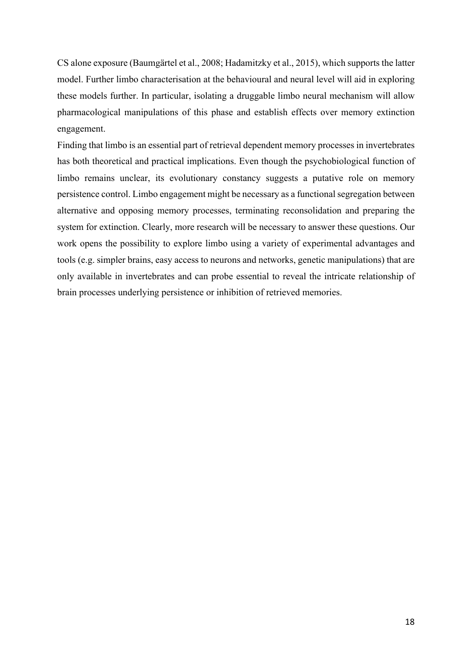CS alone exposure (Baumgärtel et al., 2008; Hadamitzky et al., 2015), which supports the latter model. Further limbo characterisation at the behavioural and neural level will aid in exploring these models further. In particular, isolating a druggable limbo neural mechanism will allow pharmacological manipulations of this phase and establish effects over memory extinction engagement.

Finding that limbo is an essential part of retrieval dependent memory processes in invertebrates has both theoretical and practical implications. Even though the psychobiological function of limbo remains unclear, its evolutionary constancy suggests a putative role on memory persistence control. Limbo engagement might be necessary as a functional segregation between alternative and opposing memory processes, terminating reconsolidation and preparing the system for extinction. Clearly, more research will be necessary to answer these questions. Our work opens the possibility to explore limbo using a variety of experimental advantages and tools (e.g. simpler brains, easy access to neurons and networks, genetic manipulations) that are only available in invertebrates and can probe essential to reveal the intricate relationship of brain processes underlying persistence or inhibition of retrieved memories.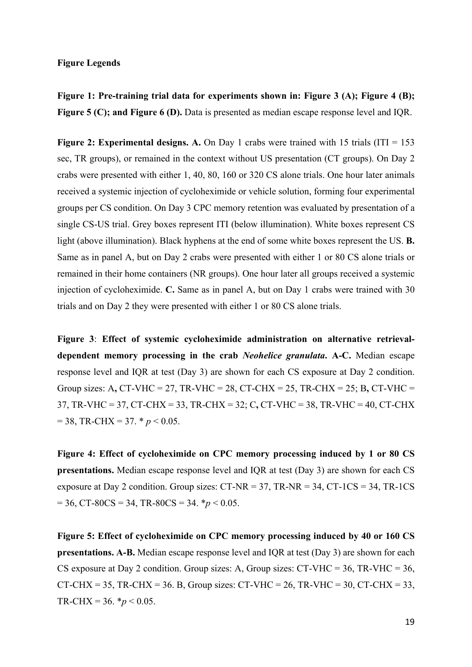## **Figure Legends**

**Figure 1: Pre-training trial data for experiments shown in: Figure 3 (A); Figure 4 (B); Figure 5 (C); and Figure 6 (D).** Data is presented as median escape response level and IQR.

**Figure 2: Experimental designs. A.** On Day 1 crabs were trained with 15 trials (ITI = 153) sec, TR groups), or remained in the context without US presentation (CT groups). On Day 2 crabs were presented with either 1, 40, 80, 160 or 320 CS alone trials. One hour later animals received a systemic injection of cycloheximide or vehicle solution, forming four experimental groups per CS condition. On Day 3 CPC memory retention was evaluated by presentation of a single CS-US trial. Grey boxes represent ITI (below illumination). White boxes represent CS light (above illumination). Black hyphens at the end of some white boxes represent the US. **B.** Same as in panel A, but on Day 2 crabs were presented with either 1 or 80 CS alone trials or remained in their home containers (NR groups). One hour later all groups received a systemic injection of cycloheximide. **C.** Same as in panel A, but on Day 1 crabs were trained with 30 trials and on Day 2 they were presented with either 1 or 80 CS alone trials.

**Figure 3**: **Effect of systemic cycloheximide administration on alternative retrievaldependent memory processing in the crab** *Neohelice granulata***. A-C.** Median escape response level and IQR at test (Day 3) are shown for each CS exposure at Day 2 condition. Group sizes: A**,** CT-VHC = 27, TR-VHC = 28, CT-CHX = 25, TR-CHX = 25; B**,** CT-VHC = 37, TR-VHC = 37, CT-CHX = 33, TR-CHX = 32; C**,** CT-VHC = 38, TR-VHC = 40, CT-CHX  $= 38$ , TR-CHX  $= 37$ .  $\ast p < 0.05$ .

**Figure 4: Effect of cycloheximide on CPC memory processing induced by 1 or 80 CS presentations.** Median escape response level and IQR at test (Day 3) are shown for each CS exposure at Day 2 condition. Group sizes: CT-NR = 37, TR-NR = 34, CT-1CS = 34, TR-1CS  $= 36$ , CT-80CS = 34, TR-80CS = 34.  $*p < 0.05$ .

**Figure 5: Effect of cycloheximide on CPC memory processing induced by 40 or 160 CS presentations. A-B.** Median escape response level and IQR at test (Day 3) are shown for each CS exposure at Day 2 condition. Group sizes: A, Group sizes:  $CT- VHC = 36$ ,  $TR- VHC = 36$ , CT-CHX = 35, TR-CHX = 36. B, Group sizes: CT-VHC = 26, TR-VHC = 30, CT-CHX = 33, TR-CHX =  $36. * p < 0.05$ .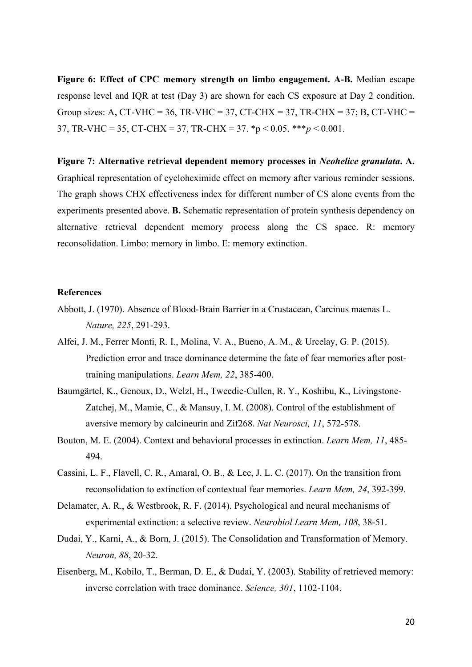**Figure 6: Effect of CPC memory strength on limbo engagement. A-B.** Median escape response level and IQR at test (Day 3) are shown for each CS exposure at Day 2 condition. Group sizes: A**,** CT-VHC = 36, TR-VHC = 37, CT-CHX = 37, TR-CHX = 37; B**,** CT-VHC = 37, TR-VHC = 35, CT-CHX = 37, TR-CHX = 37. \*p < 0.05. \*\*\**p* < 0.001.

**Figure 7: Alternative retrieval dependent memory processes in** *Neohelice granulata***. A.**  Graphical representation of cycloheximide effect on memory after various reminder sessions. The graph shows CHX effectiveness index for different number of CS alone events from the experiments presented above. **B.** Schematic representation of protein synthesis dependency on alternative retrieval dependent memory process along the CS space. R: memory reconsolidation. Limbo: memory in limbo. E: memory extinction.

#### **References**

- Abbott, J. (1970). Absence of Blood-Brain Barrier in a Crustacean, Carcinus maenas L. *Nature, 225*, 291-293.
- Alfei, J. M., Ferrer Monti, R. I., Molina, V. A., Bueno, A. M., & Urcelay, G. P. (2015). Prediction error and trace dominance determine the fate of fear memories after posttraining manipulations. *Learn Mem, 22*, 385-400.
- Baumgärtel, K., Genoux, D., Welzl, H., Tweedie-Cullen, R. Y., Koshibu, K., Livingstone-Zatchej, M., Mamie, C., & Mansuy, I. M. (2008). Control of the establishment of aversive memory by calcineurin and Zif268. *Nat Neurosci, 11*, 572-578.
- Bouton, M. E. (2004). Context and behavioral processes in extinction. *Learn Mem, 11*, 485- 494.
- Cassini, L. F., Flavell, C. R., Amaral, O. B., & Lee, J. L. C. (2017). On the transition from reconsolidation to extinction of contextual fear memories. *Learn Mem, 24*, 392-399.
- Delamater, A. R., & Westbrook, R. F. (2014). Psychological and neural mechanisms of experimental extinction: a selective review. *Neurobiol Learn Mem, 108*, 38-51.
- Dudai, Y., Karni, A., & Born, J. (2015). The Consolidation and Transformation of Memory. *Neuron, 88*, 20-32.
- Eisenberg, M., Kobilo, T., Berman, D. E., & Dudai, Y. (2003). Stability of retrieved memory: inverse correlation with trace dominance. *Science, 301*, 1102-1104.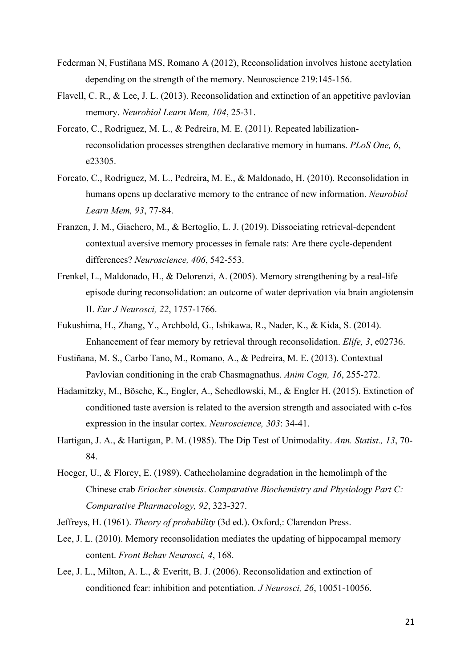- Federman N, Fustiñana MS, Romano A (2012), Reconsolidation involves histone acetylation depending on the strength of the memory. Neuroscience 219:145-156.
- Flavell, C. R., & Lee, J. L. (2013). Reconsolidation and extinction of an appetitive pavlovian memory. *Neurobiol Learn Mem, 104*, 25-31.
- Forcato, C., Rodriguez, M. L., & Pedreira, M. E. (2011). Repeated labilizationreconsolidation processes strengthen declarative memory in humans. *PLoS One, 6*, e23305.
- Forcato, C., Rodriguez, M. L., Pedreira, M. E., & Maldonado, H. (2010). Reconsolidation in humans opens up declarative memory to the entrance of new information. *Neurobiol Learn Mem, 93*, 77-84.
- Franzen, J. M., Giachero, M., & Bertoglio, L. J. (2019). Dissociating retrieval-dependent contextual aversive memory processes in female rats: Are there cycle-dependent differences? *Neuroscience, 406*, 542-553.
- Frenkel, L., Maldonado, H., & Delorenzi, A. (2005). Memory strengthening by a real-life episode during reconsolidation: an outcome of water deprivation via brain angiotensin II. *Eur J Neurosci, 22*, 1757-1766.
- Fukushima, H., Zhang, Y., Archbold, G., Ishikawa, R., Nader, K., & Kida, S. (2014). Enhancement of fear memory by retrieval through reconsolidation. *Elife, 3*, e02736.
- Fustiñana, M. S., Carbo Tano, M., Romano, A., & Pedreira, M. E. (2013). Contextual Pavlovian conditioning in the crab Chasmagnathus. *Anim Cogn, 16*, 255-272.
- Hadamitzky, M., Bösche, K., Engler, A., Schedlowski, M., & Engler H. (2015). Extinction of conditioned taste aversion is related to the aversion strength and associated with c-fos expression in the insular cortex. *Neuroscience, 303*: 34-41.
- Hartigan, J. A., & Hartigan, P. M. (1985). The Dip Test of Unimodality. *Ann. Statist., 13*, 70- 84.
- Hoeger, U., & Florey, E. (1989). Cathecholamine degradation in the hemolimph of the Chinese crab *Eriocher sinensis*. *Comparative Biochemistry and Physiology Part C: Comparative Pharmacology, 92*, 323-327.
- Jeffreys, H. (1961). *Theory of probability* (3d ed.). Oxford,: Clarendon Press.
- Lee, J. L. (2010). Memory reconsolidation mediates the updating of hippocampal memory content. *Front Behav Neurosci, 4*, 168.
- Lee, J. L., Milton, A. L., & Everitt, B. J. (2006). Reconsolidation and extinction of conditioned fear: inhibition and potentiation. *J Neurosci, 26*, 10051-10056.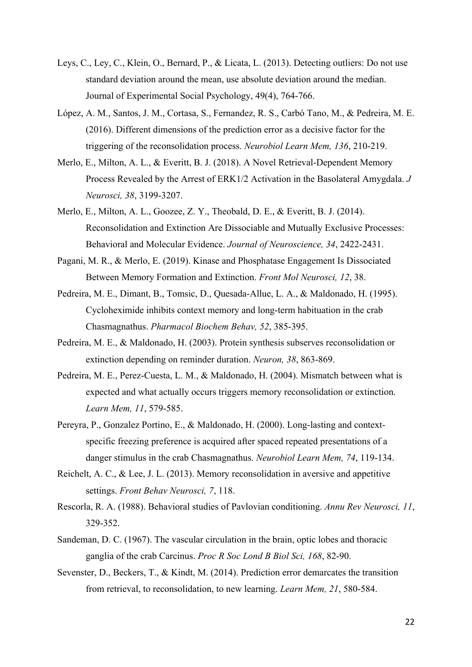- Leys, C., Ley, C., Klein, O., Bernard, P., & Licata, L. (2013). Detecting outliers: Do not use standard deviation around the mean, use absolute deviation around the median. Journal of Experimental Social Psychology, 49(4), 764-766.
- López, A. M., Santos, J. M., Cortasa, S., Fernandez, R. S., Carbó Tano, M., & Pedreira, M. E. (2016). Different dimensions of the prediction error as a decisive factor for the triggering of the reconsolidation process. *Neurobiol Learn Mem, 136*, 210-219.
- Merlo, E., Milton, A. L., & Everitt, B. J. (2018). A Novel Retrieval-Dependent Memory Process Revealed by the Arrest of ERK1/2 Activation in the Basolateral Amygdala. *J Neurosci, 38*, 3199-3207.
- Merlo, E., Milton, A. L., Goozee, Z. Y., Theobald, D. E., & Everitt, B. J. (2014). Reconsolidation and Extinction Are Dissociable and Mutually Exclusive Processes: Behavioral and Molecular Evidence. *Journal of Neuroscience, 34*, 2422-2431.
- Pagani, M. R., & Merlo, E. (2019). Kinase and Phosphatase Engagement Is Dissociated Between Memory Formation and Extinction. *Front Mol Neurosci, 12*, 38.
- Pedreira, M. E., Dimant, B., Tomsic, D., Quesada-Allue, L. A., & Maldonado, H. (1995). Cycloheximide inhibits context memory and long-term habituation in the crab Chasmagnathus. *Pharmacol Biochem Behav, 52*, 385-395.
- Pedreira, M. E., & Maldonado, H. (2003). Protein synthesis subserves reconsolidation or extinction depending on reminder duration. *Neuron, 38*, 863-869.
- Pedreira, M. E., Perez-Cuesta, L. M., & Maldonado, H. (2004). Mismatch between what is expected and what actually occurs triggers memory reconsolidation or extinction. *Learn Mem, 11*, 579-585.
- Pereyra, P., Gonzalez Portino, E., & Maldonado, H. (2000). Long-lasting and contextspecific freezing preference is acquired after spaced repeated presentations of a danger stimulus in the crab Chasmagnathus. *Neurobiol Learn Mem, 74*, 119-134.
- Reichelt, A. C., & Lee, J. L. (2013). Memory reconsolidation in aversive and appetitive settings. *Front Behav Neurosci, 7*, 118.
- Rescorla, R. A. (1988). Behavioral studies of Pavlovian conditioning. *Annu Rev Neurosci, 11*, 329-352.
- Sandeman, D. C. (1967). The vascular circulation in the brain, optic lobes and thoracic ganglia of the crab Carcinus. *Proc R Soc Lond B Biol Sci, 168*, 82-90.
- Sevenster, D., Beckers, T., & Kindt, M. (2014). Prediction error demarcates the transition from retrieval, to reconsolidation, to new learning. *Learn Mem, 21*, 580-584.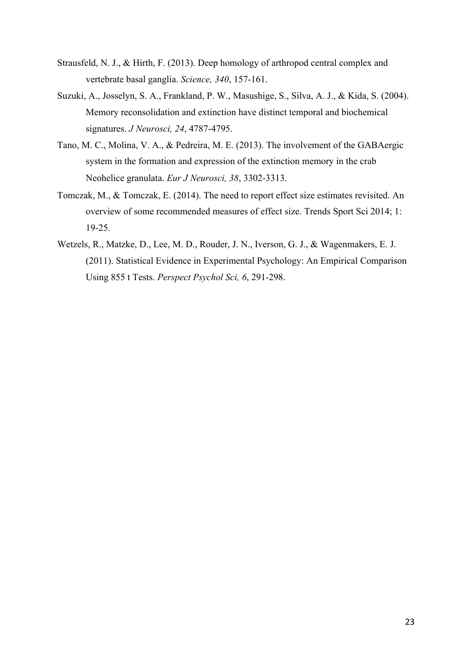- Strausfeld, N. J., & Hirth, F. (2013). Deep homology of arthropod central complex and vertebrate basal ganglia. *Science, 340*, 157-161.
- Suzuki, A., Josselyn, S. A., Frankland, P. W., Masushige, S., Silva, A. J., & Kida, S. (2004). Memory reconsolidation and extinction have distinct temporal and biochemical signatures. *J Neurosci, 24*, 4787-4795.
- Tano, M. C., Molina, V. A., & Pedreira, M. E. (2013). The involvement of the GABAergic system in the formation and expression of the extinction memory in the crab Neohelice granulata. *Eur J Neurosci, 38*, 3302-3313.
- Tomczak, M., & Tomczak, E. (2014). The need to report effect size estimates revisited. An overview of some recommended measures of effect size. Trends Sport Sci 2014; 1: 19-25.
- Wetzels, R., Matzke, D., Lee, M. D., Rouder, J. N., Iverson, G. J., & Wagenmakers, E. J. (2011). Statistical Evidence in Experimental Psychology: An Empirical Comparison Using 855 t Tests. *Perspect Psychol Sci, 6*, 291-298.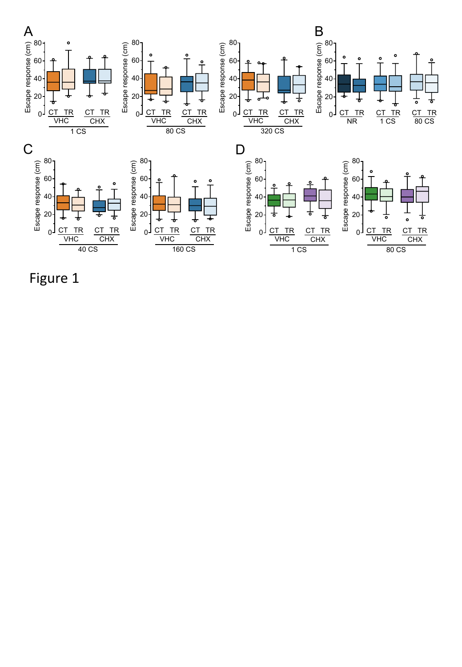

Figure 1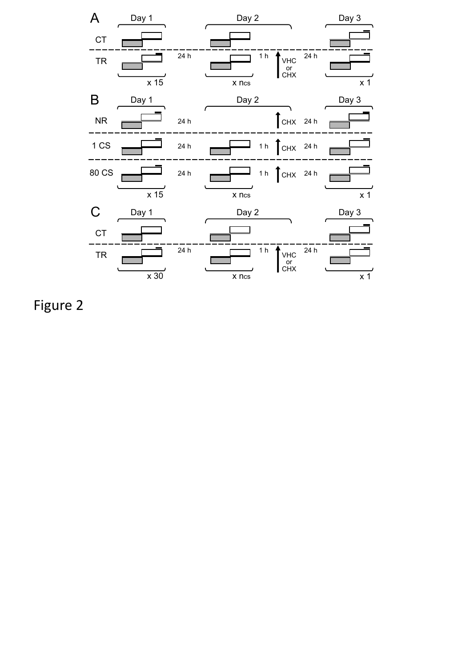

Figure 2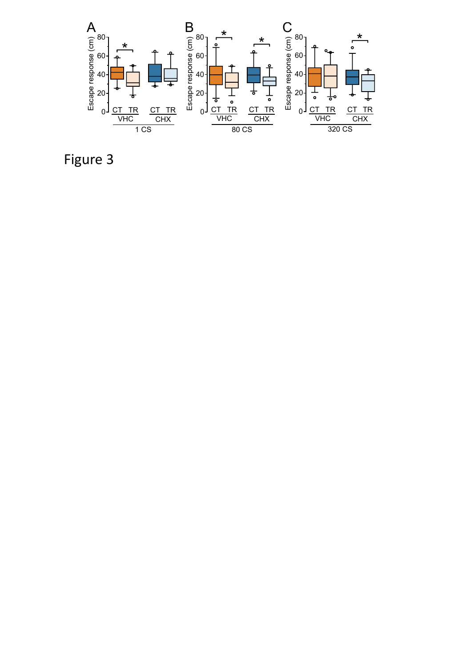

Figure 3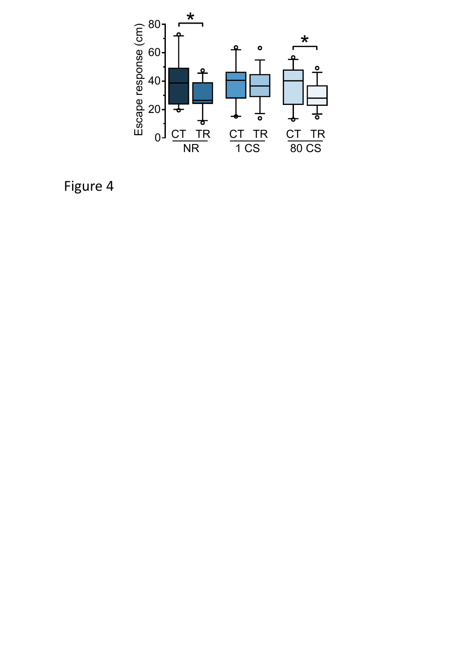

Figure 4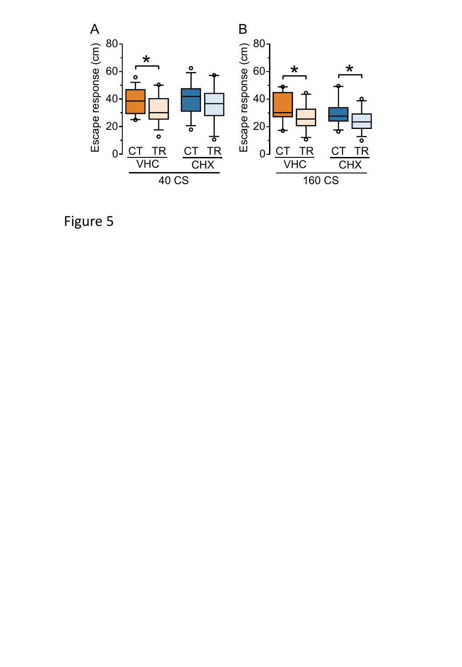

Figure 5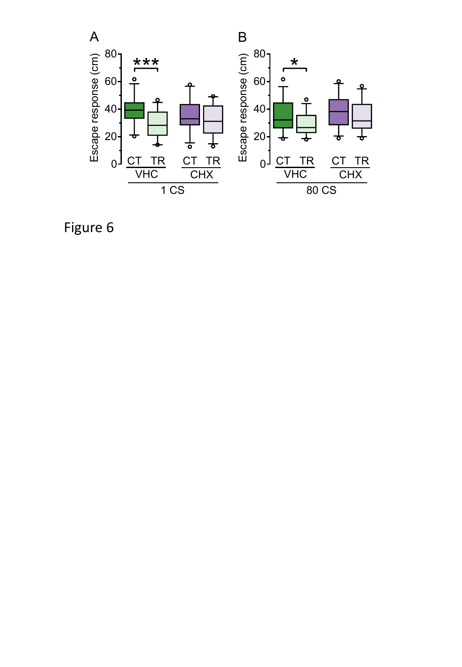

Figure 6